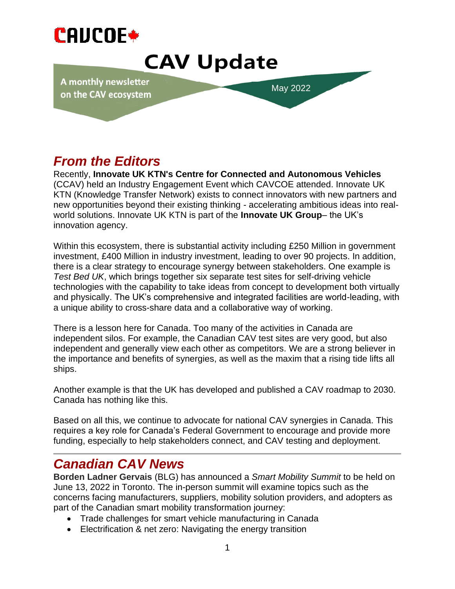

# **CAV Update**

A monthly newsletter on the CAV ecosystem

May 2022

## *From the Editors*

**June 2021** KTN (Knowledge Transfer Network) exists to connect innovators with new partners and Recently, **Innovate UK KTN's Centre for Connected and Autonomous Vehicles** (CCAV) held an Industry Engagement Event which CAVCOE attended. Innovate UK new opportunities beyond their existing thinking - accelerating ambitious ideas into realworld solutions. Innovate UK KTN is part of the **Innovate UK Group**– the UK's innovation agency.

Within this ecosystem, there is substantial activity including £250 Million in government investment, £400 Million in industry investment, leading to over 90 projects. In addition, there is a clear strategy to encourage synergy between stakeholders. One example is *Test Bed UK*, which brings together six separate test sites for self-driving vehicle technologies with the capability to take ideas from concept to development both virtually and physically. The UK's comprehensive and integrated facilities are world-leading, with a unique ability to cross-share data and a collaborative way of working.

There is a lesson here for Canada. Too many of the activities in Canada are independent silos. For example, the Canadian CAV test sites are very good, but also independent and generally view each other as competitors. We are a strong believer in the importance and benefits of synergies, as well as the maxim that a rising tide lifts all ships.

Another example is that the UK has developed and published a CAV roadmap to 2030. Canada has nothing like this.

Based on all this, we continue to advocate for national CAV synergies in Canada. This requires a key role for Canada's Federal Government to encourage and provide more funding, especially to help stakeholders connect, and CAV testing and deployment.

### *Canadian CAV News*

**Borden Ladner Gervais** (BLG) has announced a *Smart Mobility Summit* to be held on June 13, 2022 in Toronto. The in-person summit will examine topics such as the concerns facing manufacturers, suppliers, mobility solution providers, and adopters as part of the Canadian smart mobility transformation journey:

- Trade challenges for smart vehicle manufacturing in Canada
- Electrification & net zero: Navigating the energy transition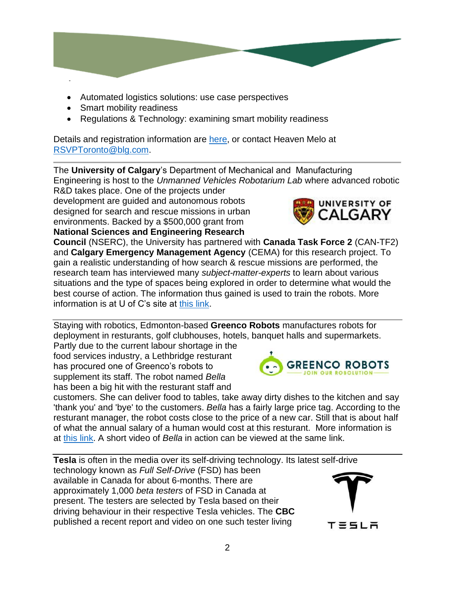- - Automated logistics solutions: use case perspectives
	- Smart mobility readiness
	- Regulations & Technology: examining smart mobility readiness

Details and registration information are [here,](https://1a22c8baa8e848a2b19bfb8efd2234a8.marketingusercontent.com/m/view/jqQGcMWJUWsiUIYcN2ftOawIAgjzNXVBJnh0NNjQxwgx) or contact Heaven Melo at [RSVPToronto@blg.com.](mailto:RSVPToronto@blg.com)

The **University of Calgary**'s Department of Mechanical and Manufacturing Engineering is host to the *Unmanned Vehicles Robotarium Lab* where advanced robotic

R&D takes place. One of the projects under development are guided and autonomous robots designed for search and rescue missions in urban environments. Backed by a \$500,000 grant from **National Sciences and Engineering Research** 

**Council** (NSERC), the University has partnered with **Canada Task Force 2** (CAN-TF2) and **Calgary Emergency Management Agency** (CEMA) for this research project. To gain a realistic understanding of how search & rescue missions are performed, the research team has interviewed many *subject-matter-experts* to learn about various situations and the type of spaces being explored in order to determine what would the best course of action. The information thus gained is used to train the robots. More information is at U of C's site at [this link.](https://news.ucalgary.ca/news/rescue-robots-go-where-people-cant?mkt_tok=MTYxLU9MTi05OTAAAAGECp3VUu05gk4hCbBLe43v9Sk2WRnOHQ4PKpNUGc1IEz1ErjymhqvT6ucRy2hts_WIRfKhRoaQyF6FzDTtiiN_sP7HV7Rpitkfl4i59gAT6PeTQrY)

Staying with robotics, Edmonton-based **Greenco Robots** manufactures robots for deployment in resturants, golf clubhouses, hotels, banquet halls and supermarkets.

Partly due to the current labour shortage in the food services industry, a Lethbridge resturant has procured one of Greenco's robots to supplement its staff. The robot named *Bella* has been a big hit with the resturant staff and



**Tesla** is often in the media over its self-driving technology. Its latest self-drive technology known as *Full Self-Drive* (FSD) has been available in Canada for about 6-months. There are approximately 1,000 *beta testers* of FSD in Canada at present. The testers are selected by Tesla based on their driving behaviour in their respective Tesla vehicles. The **CBC** published a recent report and video on one such tester living



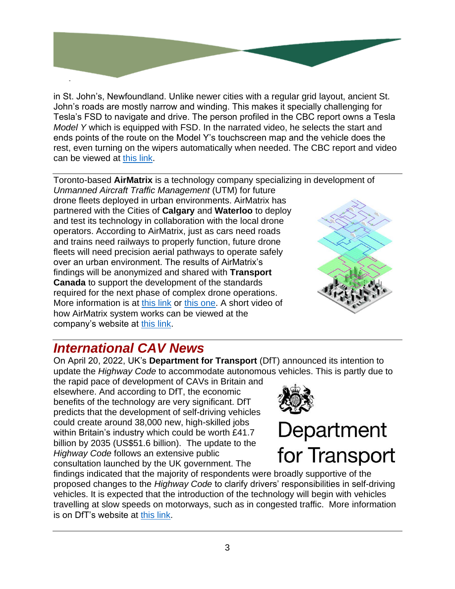in St. John's, Newfoundland. Unlike newer cities with a regular grid layout, ancient St. John's roads are mostly narrow and winding. This makes it specially challenging for Tesla's FSD to navigate and drive. The person profiled in the CBC report owns a Tesla *Model Y* which is equipped with FSD. In the narrated video, he selects the start and ends points of the route on the Model Y's touchscreen map and the vehicle does the rest, even turning on the wipers automatically when needed. The CBC report and video can be viewed at [this link.](https://www.cbc.ca/news/canada/newfoundland-labrador/self-driving-stjohns-1.6431092)

Toronto-based **AirMatrix** is a technology company specializing in development of *Unmanned Aircraft Traffic Management* (UTM) for future drone fleets deployed in urban environments. AirMatrix has partnered with the Cities of **Calgary** and **Waterloo** to deploy and test its technology in collaboration with the local drone operators. According to AirMatrix, just as cars need roads and trains need railways to properly function, future drone fleets will need precision aerial pathways to operate safely over an urban environment. The results of AirMatrix's findings will be anonymized and shared with **Transport Canada** to support the development of the standards required for the next phase of complex drone operations. More information is at [this link](https://www.smartcitiesworld.net/air-travel/calgary-helps-to-bring-commercial-drone-service-a-step-closer-in-canada-7611) or [this one.](https://drive.google.com/file/d/1h65AkVFUcRi8TP05XKe2YgfvdN36Gj89/view?usp=sharing) A short video of how AirMatrix system works can be viewed at the company's website at [this link.](https://airmatrix.ca/)



### *International CAV News*

On April 20, 2022, UK's **Department for Transport** (DfT) announced its intention to update the *Highway Code* to accommodate autonomous vehicles. This is partly due to

the rapid pace of development of CAVs in Britain and elsewhere. And according to DfT, the economic benefits of the technology are very significant. DfT predicts that the development of self-driving vehicles could create around 38,000 new, high-skilled jobs within Britain's industry which could be worth £41.7 billion by 2035 (US\$51.6 billion). The update to the *Highway Code* follows an extensive public consultation launched by the UK government. The



# Department for Transport

findings indicated that the majority of respondents were broadly supportive of the proposed changes to the *Highway Code* to clarify drivers' responsibilities in self-driving vehicles. It is expected that the introduction of the technology will begin with vehicles travelling at slow speeds on motorways, such as in congested traffic. More information is on DfT's website at [this link.](https://www.gov.uk/government/news/britain-moves-closer-to-a-self-driving-revolution)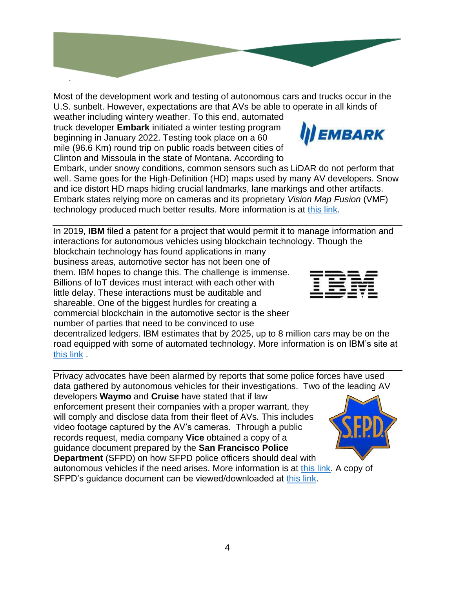Most of the development work and testing of autonomous cars and trucks occur in the U.S. sunbelt. However, expectations are that AVs be able to operate in all kinds of weather including wintery weather. To this end, automated

truck developer **Embark** initiated a winter testing program beginning in January 2022. Testing took place on a 60 mile (96.6 Km) round trip on public roads between cities of Clinton and Missoula in the state of Montana. According to

Embark, under snowy conditions, common sensors such as LiDAR do not perform that well. Same goes for the High-Definition (HD) maps used by many AV developers. Snow and ice distort HD maps hiding crucial landmarks, lane markings and other artifacts. Embark states relying more on cameras and its proprietary *Vision Map Fusion* (VMF) technology produced much better results. More information is at [this link.](https://futurride.com/2022/05/09/embark-trucks-completes-industry-firsts-in-autonomous-winter-testing-and-processing/)

In 2019, **IBM** filed a patent for a project that would permit it to manage information and interactions for autonomous vehicles using blockchain technology. Though the blockchain technology has found applications in many

business areas, automotive sector has not been one of them. IBM hopes to change this. The challenge is immense. Billions of IoT devices must interact with each other with little delay. These interactions must be auditable and shareable. One of the biggest hurdles for creating a commercial blockchain in the automotive sector is the sheer number of parties that need to be convinced to use

decentralized ledgers. IBM estimates that by 2025, up to 8 million cars may be on the road equipped with some of automated technology. More information is on IBM's site at [this link](https://www.ibm.com/blogs/blockchain/2020/04/blockchain-powered-autonomous-automobiles-can-be-the-answer/) .

Privacy advocates have been alarmed by reports that some police forces have used data gathered by autonomous vehicles for their investigations. Two of the leading AV developers **Waymo** and **Cruise** have stated that if law enforcement present their companies with a proper warrant, they will comply and disclose data from their fleet of AVs. This includes video footage captured by the AV's cameras. Through a public records request, media company **Vice** obtained a copy of a guidance document prepared by the **San Francisco Police Department** (SFPD) on how SFPD police officers should deal with autonomous vehicles if the need arises. More information is at [this link.](https://www.vice.com/en/article/v7dw8x/san-francisco-police-are-using-driverless-cars-as-mobile-surveillance-cameras) A copy of SFPD's guidance document can be viewed/downloaded at [this link.](https://drive.google.com/file/d/15Iq0AhtE9L-rpuGjQJ9niYeA1Nl-ahiQ/view?usp=sharing)





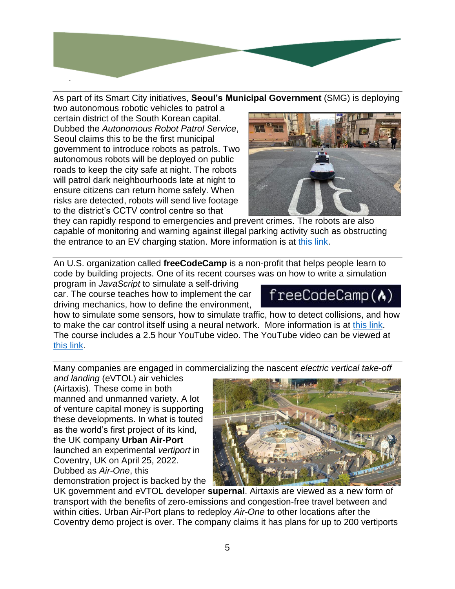

As part of its Smart City initiatives, **Seoul's Municipal Government** (SMG) is deploying

two autonomous robotic vehicles to patrol a certain district of the South Korean capital. Dubbed the *Autonomous Robot Patrol Service*, Seoul claims this to be the first municipal government to introduce robots as patrols. Two autonomous robots will be deployed on public roads to keep the city safe at night. The robots will patrol dark neighbourhoods late at night to ensure citizens can return home safely. When risks are detected, robots will send live footage to the district's CCTV control centre so that



they can rapidly respond to emergencies and prevent crimes. The robots are also capable of monitoring and warning against illegal parking activity such as obstructing the entrance to an EV charging station. More information is at [this link.](https://www.smartcitiesworld.net/internet-of-things/internet-of-things/seoul-employs-robots-and-ai-to-roll-out-further-smart-city-services)

An U.S. organization called **freeCodeCamp** is a non-profit that helps people learn to code by building projects. One of its recent courses was on how to write a simulation

program in *JavaScript* to simulate a self-driving car. The course teaches how to implement the car driving mechanics, how to define the environment,

# $freeCodeCamp(\Lambda)$

how to simulate some sensors, how to simulate traffic, how to detect collisions, and how to make the car control itself using a neural network. More information is at [this link.](https://www.freecodecamp.org/news/self-driving-car-javascript) The course includes a 2.5 hour YouTube video. The YouTube video can be viewed at [this link.](https://www.youtube.com/watch?v=Rs_rAxEsAvI)

Many companies are engaged in commercializing the nascent *electric vertical take-off* 

*and landing* (eVTOL) air vehicles (Airtaxis). These come in both manned and unmanned variety. A lot of venture capital money is supporting these developments. In what is touted as the world's first project of its kind, the UK company **Urban Air-Port** launched an experimental *vertiport* in Coventry, UK on April 25, 2022. Dubbed as *Air-One*, this demonstration project is backed by the



UK government and eVTOL developer **supernal**. Airtaxis are viewed as a new form of transport with the benefits of zero-emissions and congestion-free travel between and within cities. Urban Air-Port plans to redeploy *Air-One* to other locations after the Coventry demo project is over. The company claims it has plans for up to 200 vertiports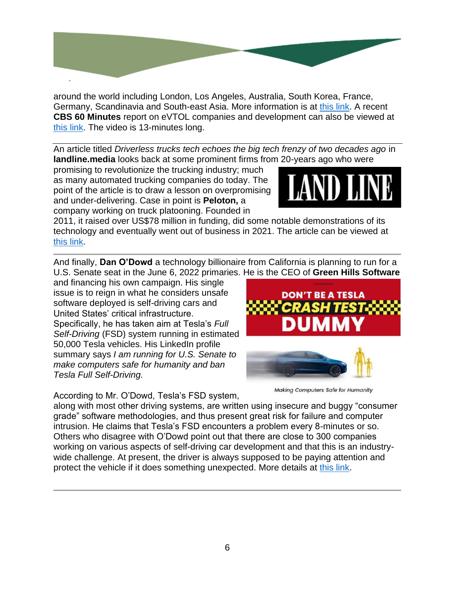

around the world including London, Los Angeles, Australia, South Korea, France, Germany, Scandinavia and South-east Asia. More information is at [this link.](https://www.itsinternational.com/its9/news/come-fly-me-coventry?utm_source=Adestra&utm_medium=email&campaign_id=3346&workspace_name=ITS%20International&workspace_id=3&project_name=E-newsletters&link_url=https%3A%2F%2Fwww.itsinternational.com%2Fits9%2Fnews%2Fcome-fly-me-coventry&link_label=Come%20fly%20with%20me%20in%20Coventry&campaign_name=ITS%20International%2028th%20April%202022%20eNewsletter&account_code=474130&email=dispo2%40telus.net) A recent **CBS 60 Minutes** report on eVTOL companies and development can also be viewed at [this link.](https://www.cbsnews.com/video/flying-vehicles-evtol-air-taxi-60-minutes-video-2022-04-17/#x) The video is 13-minutes long.

An article titled *Driverless trucks tech echoes the big tech frenzy of two decades ago* in **landline.media** looks back at some prominent firms from 20-years ago who were

promising to revolutionize the trucking industry; much as many automated trucking companies do today. The point of the article is to draw a lesson on overpromising and under-delivering. Case in point is **Peloton,** a company working on truck platooning. Founded in



2011, it raised over US\$78 million in funding, did some notable demonstrations of its technology and eventually went out of business in 2021. The article can be viewed at [this link.](https://landline.media/driverless-trucks-tech-echoes-the-big-tech-frenzy-of-two-decades-ago/)

And finally, **Dan O'Dowd** a technology billionaire from California is planning to run for a U.S. Senate seat in the June 6, 2022 primaries. He is the CEO of **Green Hills Software**

and financing his own campaign. His single issue is to reign in what he considers unsafe software deployed is self-driving cars and United States' critical infrastructure. Specifically, he has taken aim at Tesla's *Full Self-Driving* (FSD) system running in estimated 50,000 Tesla vehicles. His LinkedIn profile summary says *I am running for U.S. Senate to make computers safe for humanity and ban Tesla Full Self-Driving.*

According to Mr. O'Dowd, Tesla's FSD system,





**Making Computers Safe for Humanity** 

along with most other driving systems, are written using insecure and buggy "consumer grade" software methodologies, and thus present great risk for failure and computer intrusion. He claims that Tesla's FSD encounters a problem every 8-minutes or so. Others who disagree with O'Dowd point out that there are close to 300 companies working on various aspects of self-driving car development and that this is an industrywide challenge. At present, the driver is always supposed to be paying attention and protect the vehicle if it does something unexpected. More details at [this link.](https://www.forbes.com/sites/bradtempleton/2022/03/10/this-billionaire-says-were-doomed-if-we-dont-secure-teslas-and-infrastructure-but-only-he-knows-how/?sh=3e79183426ef)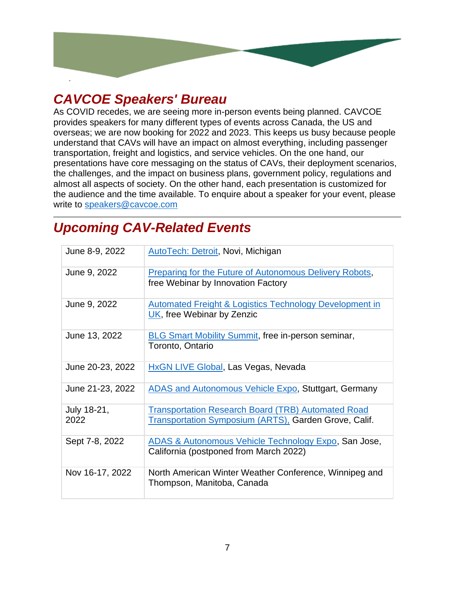

#### *CAVCOE Speakers' Bureau*

As COVID recedes, we are seeing more in-person events being planned. CAVCOE provides speakers for many different types of events across Canada, the US and overseas; we are now booking for 2022 and 2023. This keeps us busy because people understand that CAVs will have an impact on almost everything, including passenger transportation, freight and logistics, and service vehicles. On the one hand, our presentations have core messaging on the status of CAVs, their deployment scenarios, the challenges, and the impact on business plans, government policy, regulations and almost all aspects of society. On the other hand, each presentation is customized for the audience and the time available. To enquire about a speaker for your event, please write to [speakers@cavcoe.com](mailto:speakers@cavcoe.com)

### *Upcoming CAV-Related Events*

| June 8-9, 2022      | AutoTech: Detroit, Novi, Michigan                                                                                         |
|---------------------|---------------------------------------------------------------------------------------------------------------------------|
| June 9, 2022        | <b>Preparing for the Future of Autonomous Delivery Robots,</b><br>free Webinar by Innovation Factory                      |
| June 9, 2022        | <b>Automated Freight &amp; Logistics Technology Development in</b><br>UK, free Webinar by Zenzic                          |
| June 13, 2022       | <b>BLG Smart Mobility Summit, free in-person seminar,</b><br>Toronto, Ontario                                             |
| June 20-23, 2022    | <b>HxGN LIVE Global, Las Vegas, Nevada</b>                                                                                |
| June 21-23, 2022    | <b>ADAS and Autonomous Vehicle Expo, Stuttgart, Germany</b>                                                               |
| July 18-21,<br>2022 | <b>Transportation Research Board (TRB) Automated Road</b><br><b>Transportation Symposium (ARTS), Garden Grove, Calif.</b> |
| Sept 7-8, 2022      | ADAS & Autonomous Vehicle Technology Expo, San Jose,<br>California (postponed from March 2022)                            |
| Nov 16-17, 2022     | North American Winter Weather Conference, Winnipeg and<br>Thompson, Manitoba, Canada                                      |